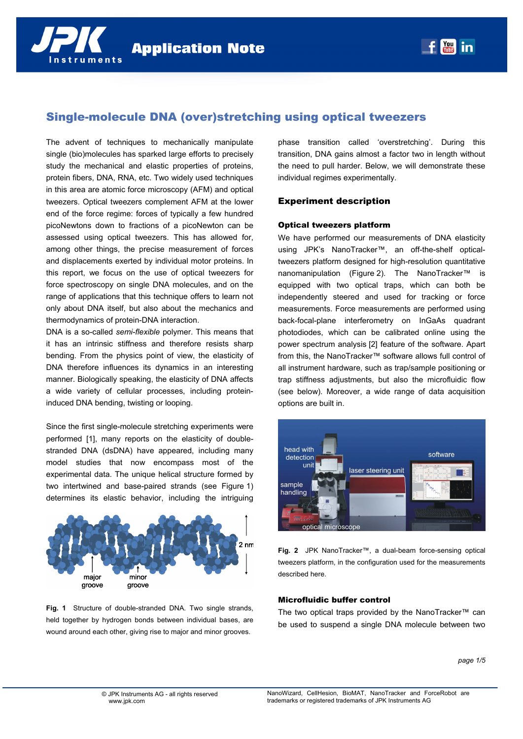# Single-molecule DNA (over)stretching using optical tweezers

The advent of techniques to mechanically manipulate single (bio)molecules has sparked large efforts to precisely study the mechanical and elastic properties of proteins, protein fibers, DNA, RNA, etc. Two widely used techniques in this area are atomic force microscopy (AFM) and optical tweezers. Optical tweezers complement AFM at the lower end of the force regime: forces of typically a few hundred picoNewtons down to fractions of a picoNewton can be assessed using optical tweezers. This has allowed for, among other things, the precise measurement of forces and displacements exerted by individual motor proteins. In this report, we focus on the use of optical tweezers for force spectroscopy on single DNA molecules, and on the range of applications that this technique offers to learn not only about DNA itself, but also about the mechanics and thermodynamics of protein-DNA interaction.

DNA is a so-called *semi-flexible* polymer. This means that it has an intrinsic stiffness and therefore resists sharp bending. From the physics point of view, the elasticity of DNA therefore influences its dynamics in an interesting manner. Biologically speaking, the elasticity of DNA affects a wide variety of cellular processes, including proteininduced DNA bending, twisting or looping.

Since the first single-molecule stretching experiments were performed [1], many reports on the elasticity of doublestranded DNA (dsDNA) have appeared, including many model studies that now encompass most of the experimental data. The unique helical structure formed by two intertwined and base-paired strands (see Figure 1) determines its elastic behavior, including the intriguing



**Fig. 1** Structure of double-stranded DNA. Two single strands, held together by hydrogen bonds between individual bases, are wound around each other, giving rise to major and minor grooves.

phase transition called 'overstretching'. During this transition, DNA gains almost a factor two in length without the need to pull harder. Below, we will demonstrate these individual regimes experimentally.

# Experiment description

#### Optical tweezers platform

We have performed our measurements of DNA elasticity using JPK's NanoTracker™, an off-the-shelf opticaltweezers platform designed for high-resolution quantitative nanomanipulation (Figure 2). The NanoTracker™ is equipped with two optical traps, which can both be independently steered and used for tracking or force measurements. Force measurements are performed using back-focal-plane interferometry on InGaAs quadrant photodiodes, which can be calibrated online using the power spectrum analysis [2] feature of the software. Apart from this, the NanoTracker™ software allows full control of all instrument hardware, such as trap/sample positioning or trap stiffness adjustments, but also the microfluidic flow (see below). Moreover, a wide range of data acquisition options are built in.



**Fig. 2** JPK NanoTracker™, a dual-beam force-sensing optical tweezers platform, in the configuration used for the measurements described here.

# Microfluidic buffer control

The two optical traps provided by the NanoTracker™ can be used to suspend a single DNA molecule between two

*page 1/5*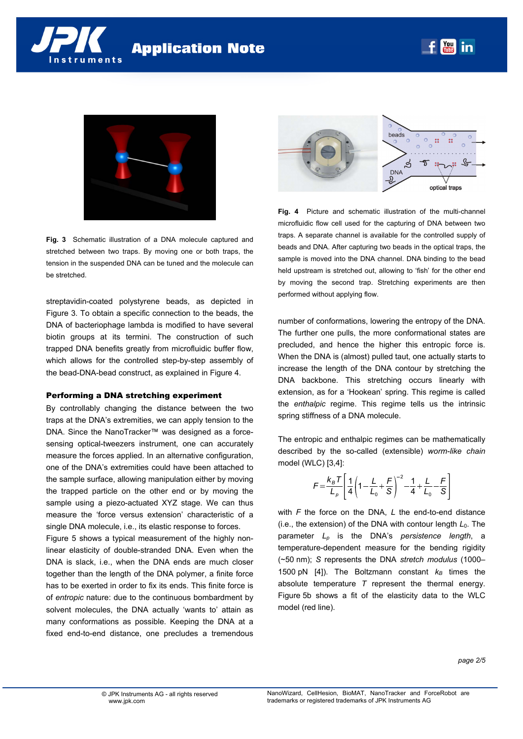



**Fig. 3** Schematic illustration of a DNA molecule captured and stretched between two traps. By moving one or both traps, the tension in the suspended DNA can be tuned and the molecule can be stretched.

streptavidin-coated polystyrene beads, as depicted in Figure 3. To obtain a specific connection to the beads, the DNA of bacteriophage lambda is modified to have several biotin groups at its termini. The construction of such trapped DNA benefits greatly from microfluidic buffer flow, which allows for the controlled step-by-step assembly of the bead-DNA-bead construct, as explained in Figure 4.

#### Performing a DNA stretching experiment

By controllably changing the distance between the two traps at the DNA's extremities, we can apply tension to the DNA. Since the NanoTracker™ was designed as a forcesensing optical-tweezers instrument, one can accurately measure the forces applied. In an alternative configuration, one of the DNA's extremities could have been attached to the sample surface, allowing manipulation either by moving the trapped particle on the other end or by moving the sample using a piezo-actuated XYZ stage. We can thus measure the 'force versus extension' characteristic of a single DNA molecule, i.e., its elastic response to forces.

Figure 5 shows a typical measurement of the highly nonlinear elasticity of double-stranded DNA. Even when the DNA is slack, i.e., when the DNA ends are much closer together than the length of the DNA polymer, a finite force has to be exerted in order to fix its ends. This finite force is of *entropic* nature: due to the continuous bombardment by solvent molecules, the DNA actually 'wants to' attain as many conformations as possible. Keeping the DNA at a fixed end-to-end distance, one precludes a tremendous



**Fig. 4** Picture and schematic illustration of the multi-channel microfluidic flow cell used for the capturing of DNA between two traps. A separate channel is available for the controlled supply of beads and DNA. After capturing two beads in the optical traps, the sample is moved into the DNA channel. DNA binding to the bead held upstream is stretched out, allowing to 'fish' for the other end by moving the second trap. Stretching experiments are then performed without applying flow.

number of conformations, lowering the entropy of the DNA. The further one pulls, the more conformational states are precluded, and hence the higher this entropic force is. When the DNA is (almost) pulled taut, one actually starts to increase the length of the DNA contour by stretching the DNA backbone. This stretching occurs linearly with extension, as for a 'Hookean' spring. This regime is called the *enthalpic* regime. This regime tells us the intrinsic spring stiffness of a DNA molecule.

The entropic and enthalpic regimes can be mathematically described by the so-called (extensible) *worm-like chain*  model (WLC) [3,4]:

$$
F = \frac{k_B T}{L_p} \left[ \frac{1}{4} \left( 1 - \frac{L}{L_0} + \frac{F}{S} \right)^{-2} - \frac{1}{4} + \frac{L}{L_0} - \frac{F}{S} \right]
$$

with *F* the force on the DNA, *L* the end-to-end distance (i.e., the extension) of the DNA with contour length  $L_0$ . The parameter *Lp* is the DNA's *persistence length*, a temperature-dependent measure for the bending rigidity (~50 nm); *S* represents the DNA *stretch modulus* (1000– 1500 pN  $[4]$ ). The Boltzmann constant  $k_B$  times the absolute temperature *T* represent the thermal energy. Figure 5b shows a fit of the elasticity data to the WLC model (red line).

*page 2/5*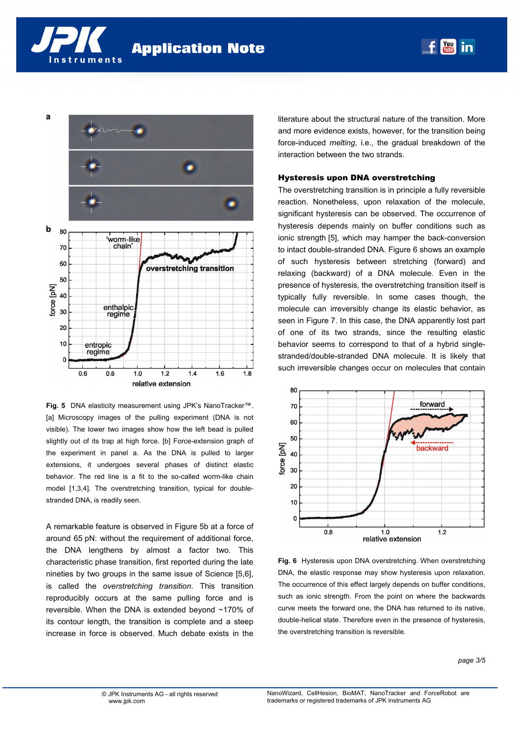nstruments



**Fig. 5** DNA elasticity measurement using JPK's NanoTracker™. [a] Microscopy images of the pulling experiment (DNA is not visible). The lower two images show how the left bead is pulled slightly out of its trap at high force. [b] Force-extension graph of the experiment in panel a. As the DNA is pulled to larger extensions, it undergoes several phases of distinct elastic behavior. The red line is a fit to the so-called worm-like chain model [1,3,4]. The overstretching transition, typical for doublestranded DNA, is readily seen.

A remarkable feature is observed in Figure 5b at a force of around 65 pN: without the requirement of additional force, the DNA lengthens by almost a factor two. This characteristic phase transition, first reported during the late nineties by two groups in the same issue of Science [5,6], is called the *overstretching transition*. This transition reproducibly occurs at the same pulling force and is reversible. When the DNA is extended beyond ~170% of its contour length, the transition is complete and a steep increase in force is observed. Much debate exists in the

literature about the structural nature of the transition. More and more evidence exists, however, for the transition being force-induced *melting*, i.e., the gradual breakdown of the interaction between the two strands.

 $\begin{bmatrix} \text{You} \\ \text{final} \end{bmatrix}$ in

#### Hysteresis upon DNA overstretching

The overstretching transition is in principle a fully reversible reaction. Nonetheless, upon relaxation of the molecule, significant hysteresis can be observed. The occurrence of hysteresis depends mainly on buffer conditions such as ionic strength [5], which may hamper the back-conversion to intact double-stranded DNA. Figure 6 shows an example of such hysteresis between stretching (forward) and relaxing (backward) of a DNA molecule. Even in the presence of hysteresis, the overstretching transition itself is typically fully reversible. In some cases though, the molecule can irreversibly change its elastic behavior, as seen in Figure 7. In this case, the DNA apparently lost part of one of its two strands, since the resulting elastic behavior seems to correspond to that of a hybrid singlestranded/double-stranded DNA molecule. It is likely that such irreversible changes occur on molecules that contain



**Fig. 6** Hysteresis upon DNA overstretching. When overstretching DNA, the elastic response may show hysteresis upon relaxation. The occurrence of this effect largely depends on buffer conditions, such as ionic strength. From the point on where the backwards curve meets the forward one, the DNA has returned to its native, double-helical state. Therefore even in the presence of hysteresis, the overstretching transition is reversible.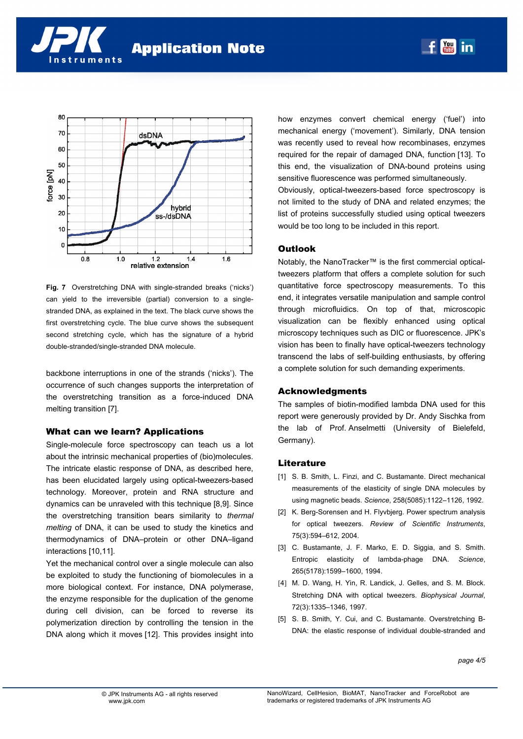



**Fig. 7** Overstretching DNA with single-stranded breaks ('nicks') can yield to the irreversible (partial) conversion to a singlestranded DNA, as explained in the text. The black curve shows the first overstretching cycle. The blue curve shows the subsequent second stretching cycle, which has the signature of a hybrid double-stranded/single-stranded DNA molecule.

backbone interruptions in one of the strands ('nicks'). The occurrence of such changes supports the interpretation of the overstretching transition as a force-induced DNA melting transition [7].

# What can we learn? Applications

Single-molecule force spectroscopy can teach us a lot about the intrinsic mechanical properties of (bio)molecules. The intricate elastic response of DNA, as described here, has been elucidated largely using optical-tweezers-based technology. Moreover, protein and RNA structure and dynamics can be unraveled with this technique [8,9]. Since the overstretching transition bears similarity to *thermal melting* of DNA, it can be used to study the kinetics and thermodynamics of DNA–protein or other DNA–ligand interactions [10,11].

Yet the mechanical control over a single molecule can also be exploited to study the functioning of biomolecules in a more biological context. For instance, DNA polymerase, the enzyme responsible for the duplication of the genome during cell division, can be forced to reverse its polymerization direction by controlling the tension in the DNA along which it moves [12]. This provides insight into how enzymes convert chemical energy ('fuel') into mechanical energy ('movement'). Similarly, DNA tension was recently used to reveal how recombinases, enzymes required for the repair of damaged DNA, function [13]. To this end, the visualization of DNA-bound proteins using sensitive fluorescence was performed simultaneously.

**You in** 

Obviously, optical-tweezers-based force spectroscopy is not limited to the study of DNA and related enzymes; the list of proteins successfully studied using optical tweezers would be too long to be included in this report.

# **Outlook**

Notably, the NanoTracker™ is the first commercial opticaltweezers platform that offers a complete solution for such quantitative force spectroscopy measurements. To this end, it integrates versatile manipulation and sample control through microfluidics. On top of that, microscopic visualization can be flexibly enhanced using optical microscopy techniques such as DIC or fluorescence. JPK's vision has been to finally have optical-tweezers technology transcend the labs of self-building enthusiasts, by offering a complete solution for such demanding experiments.

# Acknowledgments

The samples of biotin-modified lambda DNA used for this report were generously provided by Dr. Andy Sischka from the lab of Prof. Anselmetti (University of Bielefeld, Germany).

# **Literature**

- [1] S. B. Smith, L. Finzi, and C. Bustamante. Direct mechanical measurements of the elasticity of single DNA molecules by using magnetic beads. *Science*, 258(5085):1122–1126, 1992.
- [2] K. Berg-Sorensen and H. Flyvbjerg. Power spectrum analysis for optical tweezers. *Review of Scientific Instruments*, 75(3):594–612, 2004.
- [3] C. Bustamante, J. F. Marko, E. D. Siggia, and S. Smith. Entropic elasticity of lambda-phage DNA. *Science*, 265(5178):1599–1600, 1994.
- [4] M. D. Wang, H. Yin, R. Landick, J. Gelles, and S. M. Block. Stretching DNA with optical tweezers. *Biophysical Journal*, 72(3):1335–1346, 1997.
- [5] S. B. Smith, Y. Cui, and C. Bustamante. Overstretching B-DNA: the elastic response of individual double-stranded and